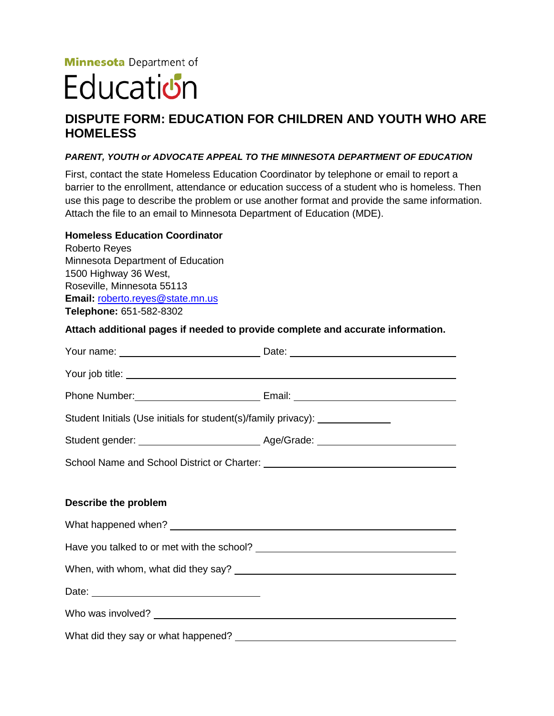**Minnesota** Department of

## Education

## **DISPUTE FORM: EDUCATION FOR CHILDREN AND YOUTH WHO ARE HOMELESS**

## *PARENT, YOUTH or ADVOCATE APPEAL TO THE MINNESOTA DEPARTMENT OF EDUCATION*

First, contact the state Homeless Education Coordinator by telephone or email to report a barrier to the enrollment, attendance or education success of a student who is homeless. Then use this page to describe the problem or use another format and provide the same information. Attach the file to an email to Minnesota Department of Education (MDE).

## **Homeless Education Coordinator**

Roberto Reyes Minnesota Department of Education 1500 Highway 36 West, Roseville, Minnesota 55113 **Email:** [roberto.reyes@state.mn.us](mailto:roberto.reyes@state.mn.us) **Telephone:** 651-582-8302

**Attach additional pages if needed to provide complete and accurate information.**

| Your name: __________________________________Date: _____________________________                                                                                                                                                     |  |
|--------------------------------------------------------------------------------------------------------------------------------------------------------------------------------------------------------------------------------------|--|
| Your job title: <u>example and the set of the set of the set of the set of the set of the set of the set of the set of the set of the set of the set of the set of the set of the set of the set of the set of the set of the se</u> |  |
|                                                                                                                                                                                                                                      |  |
| Student Initials (Use initials for student(s)/family privacy): ________________                                                                                                                                                      |  |
|                                                                                                                                                                                                                                      |  |
|                                                                                                                                                                                                                                      |  |
|                                                                                                                                                                                                                                      |  |
| Describe the problem                                                                                                                                                                                                                 |  |
|                                                                                                                                                                                                                                      |  |
|                                                                                                                                                                                                                                      |  |
|                                                                                                                                                                                                                                      |  |
|                                                                                                                                                                                                                                      |  |
|                                                                                                                                                                                                                                      |  |
|                                                                                                                                                                                                                                      |  |